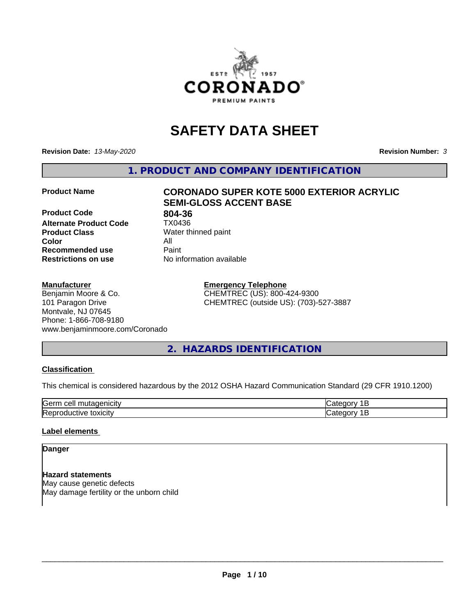

# **SAFETY DATA SHEET**

**Revision Date:** *13-May-2020* **Revision Number:** *3*

**1. PRODUCT AND COMPANY IDENTIFICATION**

**Product Code 804-36**<br>**Alternate Product Code 1X0436 Alternate Product Code Product Class** Water thinned paint<br> **Color** All **Color** All **Recommended use Caint Restrictions on use** No information available

# **Product Name CORONADO SUPER KOTE 5000 EXTERIOR ACRYLIC SEMI-GLOSS ACCENT BASE**

#### **Manufacturer**

Benjamin Moore & Co. 101 Paragon Drive Montvale, NJ 07645 Phone: 1-866-708-9180 www.benjaminmoore.com/Coronado **Emergency Telephone** CHEMTREC (US): 800-424-9300 CHEMTREC (outside US): (703)-527-3887

# **2. HAZARDS IDENTIFICATION**

#### **Classification**

This chemical is considered hazardous by the 2012 OSHA Hazard Communication Standard (29 CFR 1910.1200)

| Gerr<br>.                                          |  |
|----------------------------------------------------|--|
| m<br>$\cdots$<br>IR AI<br>ш<br>ш<br><b>JAIGILY</b> |  |

#### **Label elements**

### **Danger**

**Hazard statements** May cause genetic defects May damage fertility or the unborn child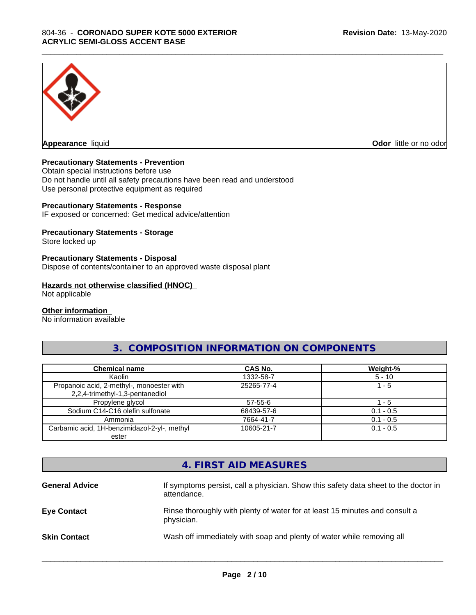

**Appearance** liquid **Odor in the original of the original of the original of the original of the original of the original of the original of the original of the original of the original of the original of the original of t** 

#### **Precautionary Statements - Prevention**

Obtain special instructions before use Do not handle until all safety precautions have been read and understood Use personal protective equipment as required

#### **Precautionary Statements - Response**

IF exposed or concerned: Get medical advice/attention

#### **Precautionary Statements - Storage**

Store locked up

#### **Precautionary Statements - Disposal**

Dispose of contents/container to an approved waste disposal plant

#### **Hazards not otherwise classified (HNOC)**

Not applicable

#### **Other information**

No information available

# **3. COMPOSITION INFORMATION ON COMPONENTS**

\_\_\_\_\_\_\_\_\_\_\_\_\_\_\_\_\_\_\_\_\_\_\_\_\_\_\_\_\_\_\_\_\_\_\_\_\_\_\_\_\_\_\_\_\_\_\_\_\_\_\_\_\_\_\_\_\_\_\_\_\_\_\_\_\_\_\_\_\_\_\_\_\_\_\_\_\_\_\_\_\_\_\_\_\_\_\_\_\_\_\_\_\_

| <b>Chemical name</b>                                                         | <b>CAS No.</b> | Weight-%    |
|------------------------------------------------------------------------------|----------------|-------------|
| Kaolin                                                                       | 1332-58-7      | $5 - 10$    |
| Propanoic acid, 2-methyl-, monoester with<br>2,2,4-trimethyl-1,3-pentanediol | 25265-77-4     | 1 - 5       |
| Propylene glycol                                                             | 57-55-6        | - 5         |
| Sodium C14-C16 olefin sulfonate                                              | 68439-57-6     | $0.1 - 0.5$ |
| Ammonia                                                                      | 7664-41-7      | $0.1 - 0.5$ |
| Carbamic acid, 1H-benzimidazol-2-yl-, methyl<br>ester                        | 10605-21-7     | $0.1 - 0.5$ |

# **4. FIRST AID MEASURES**

| If symptoms persist, call a physician. Show this safety data sheet to the doctor in<br>attendance. |
|----------------------------------------------------------------------------------------------------|
| Rinse thoroughly with plenty of water for at least 15 minutes and consult a<br>physician.          |
| Wash off immediately with soap and plenty of water while removing all                              |
|                                                                                                    |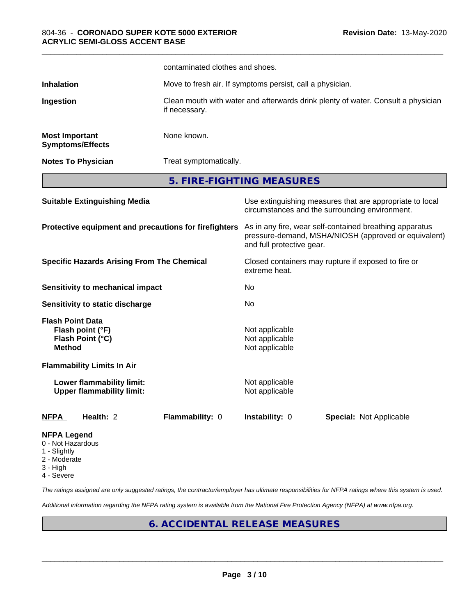|                                                                                                                                                   |                                      | contaminated clothes and shoes.                                                                                                              |                                                                                                            |                                                                                  |  |
|---------------------------------------------------------------------------------------------------------------------------------------------------|--------------------------------------|----------------------------------------------------------------------------------------------------------------------------------------------|------------------------------------------------------------------------------------------------------------|----------------------------------------------------------------------------------|--|
| <b>Inhalation</b>                                                                                                                                 |                                      | Move to fresh air. If symptoms persist, call a physician.                                                                                    |                                                                                                            |                                                                                  |  |
| Ingestion                                                                                                                                         |                                      | if necessary.                                                                                                                                |                                                                                                            | Clean mouth with water and afterwards drink plenty of water. Consult a physician |  |
| <b>Most Important</b>                                                                                                                             | <b>Symptoms/Effects</b>              | None known.                                                                                                                                  |                                                                                                            |                                                                                  |  |
|                                                                                                                                                   | <b>Notes To Physician</b>            |                                                                                                                                              | Treat symptomatically.                                                                                     |                                                                                  |  |
|                                                                                                                                                   |                                      | 5. FIRE-FIGHTING MEASURES                                                                                                                    |                                                                                                            |                                                                                  |  |
| <b>Suitable Extinguishing Media</b><br>Protective equipment and precautions for firefighters<br><b>Specific Hazards Arising From The Chemical</b> |                                      |                                                                                                                                              | Use extinguishing measures that are appropriate to local<br>circumstances and the surrounding environment. |                                                                                  |  |
|                                                                                                                                                   |                                      | As in any fire, wear self-contained breathing apparatus<br>pressure-demand, MSHA/NIOSH (approved or equivalent)<br>and full protective gear. |                                                                                                            |                                                                                  |  |
|                                                                                                                                                   |                                      | extreme heat.                                                                                                                                | Closed containers may rupture if exposed to fire or                                                        |                                                                                  |  |
|                                                                                                                                                   | Sensitivity to mechanical impact     |                                                                                                                                              | No                                                                                                         |                                                                                  |  |
|                                                                                                                                                   | Sensitivity to static discharge      |                                                                                                                                              | No                                                                                                         |                                                                                  |  |
| <b>Flash Point Data</b><br><b>Method</b>                                                                                                          | Flash point (°F)<br>Flash Point (°C) |                                                                                                                                              | Not applicable<br>Not applicable<br>Not applicable                                                         |                                                                                  |  |
|                                                                                                                                                   | <b>Flammability Limits In Air</b>    |                                                                                                                                              |                                                                                                            |                                                                                  |  |
| Lower flammability limit:<br><b>Upper flammability limit:</b>                                                                                     |                                      | Not applicable<br>Not applicable                                                                                                             |                                                                                                            |                                                                                  |  |
| <u>NFPA</u>                                                                                                                                       | Health: 2                            | Flammability: 0                                                                                                                              | Instability: 0                                                                                             | <b>Special: Not Applicable</b>                                                   |  |
| <b>NFPA Legend</b><br>0 - Not Hazardous<br>1 - Slightly<br>2 - Moderate                                                                           |                                      |                                                                                                                                              |                                                                                                            |                                                                                  |  |

- 
- 3 High
- 4 Severe

*The ratings assigned are only suggested ratings, the contractor/employer has ultimate responsibilities for NFPA ratings where this system is used.*

*Additional information regarding the NFPA rating system is available from the National Fire Protection Agency (NFPA) at www.nfpa.org.*

# **6. ACCIDENTAL RELEASE MEASURES**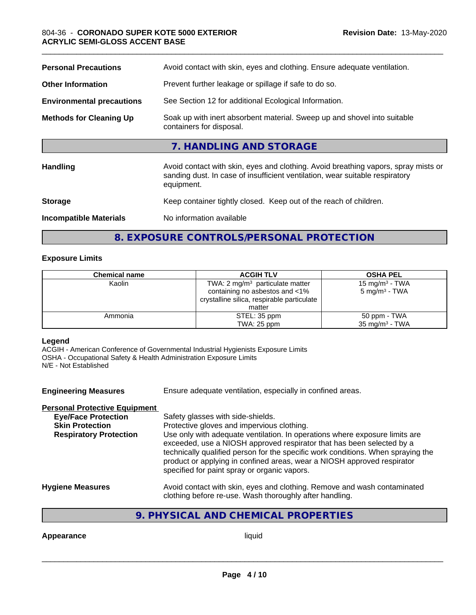| <b>Personal Precautions</b>      | Avoid contact with skin, eyes and clothing. Ensure adequate ventilation.                                                                                                         |  |  |
|----------------------------------|----------------------------------------------------------------------------------------------------------------------------------------------------------------------------------|--|--|
| <b>Other Information</b>         | Prevent further leakage or spillage if safe to do so.                                                                                                                            |  |  |
| <b>Environmental precautions</b> | See Section 12 for additional Ecological Information.                                                                                                                            |  |  |
| <b>Methods for Cleaning Up</b>   | Soak up with inert absorbent material. Sweep up and shovel into suitable<br>containers for disposal.                                                                             |  |  |
|                                  | 7. HANDLING AND STORAGE                                                                                                                                                          |  |  |
| Handling                         | Avoid contact with skin, eyes and clothing. Avoid breathing vapors, spray mists or<br>sanding dust. In case of insufficient ventilation, wear suitable respiratory<br>equipment. |  |  |
| <b>Storage</b>                   | Keep container tightly closed. Keep out of the reach of children.                                                                                                                |  |  |
| <b>Incompatible Materials</b>    | No information available                                                                                                                                                         |  |  |
|                                  |                                                                                                                                                                                  |  |  |

**8. EXPOSURE CONTROLS/PERSONAL PROTECTION**

#### **Exposure Limits**

| <b>Chemical name</b> | <b>ACGIH TLV</b>                           | <b>OSHA PEL</b>           |
|----------------------|--------------------------------------------|---------------------------|
| Kaolin               | TWA: 2 $mg/m3$ particulate matter          | 15 mg/m $3$ - TWA         |
|                      | containing no asbestos and <1%             | $5 \text{ mg/m}^3$ - TWA  |
|                      | crystalline silica, respirable particulate |                           |
|                      | matter                                     |                           |
| Ammonia              | STEL: 35 ppm                               | 50 ppm - TWA              |
|                      | TWA: 25 ppm                                | $35 \text{ mg/m}^3$ - TWA |

#### **Legend**

ACGIH - American Conference of Governmental Industrial Hygienists Exposure Limits OSHA - Occupational Safety & Health Administration Exposure Limits N/E - Not Established

**Engineering Measures** Ensure adequate ventilation, especially in confined areas. **Personal Protective Equipment Eye/Face Protection** Safety glasses with side-shields. **Skin Protection** Protective gloves and impervious clothing. **Respiratory Protection** Use only with adequate ventilation. In operations where exposure limits are exceeded, use a NIOSH approved respirator that has been selected by a technically qualified person for the specific work conditions. When spraying the product or applying in confined areas, wear a NIOSH approved respirator specified for paint spray or organic vapors. **Hygiene Measures** Avoid contact with skin, eyes and clothing. Remove and wash contaminated clothing before re-use. Wash thoroughly after handling.

# **9. PHYSICAL AND CHEMICAL PROPERTIES**

**Appearance** liquid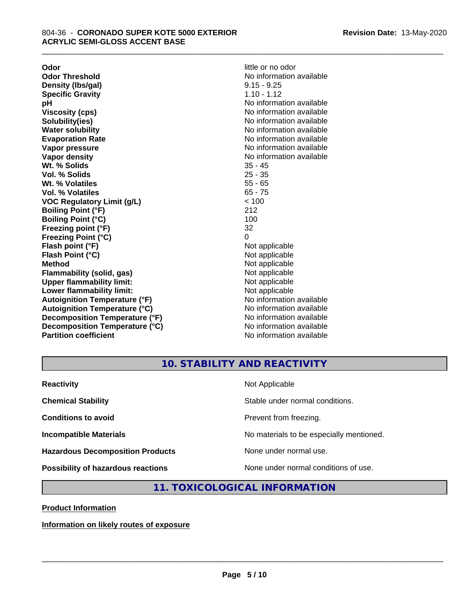**Odor Odor** little or no odor<br> **Odor Threshold Containery of the Containery of the Containery of the Containery of the Containery of the Containery of the Containery of the Containery of the Containery of the Container Density (Ibs/gal)** 9.15 - 9.25<br> **Specific Gravity** 1.10 - 1.12 **Specific Gravity pH pH**  $\blacksquare$ **Viscosity (cps)** No information available in the Viscosity (cps) **Solubility(ies)** No information available **Evaporation Rate No information available No information available Vapor pressure** No information available in the North Mondon available in the North Mondon available in the North Mondon available in the North Mondon available in the North Mondon available in the North Mondon available **Vapor density No information available No** information available **Wt. % Solids** 35 - 45 **Vol. % Solids** 25 - 35 **Wt. % Volatiles Vol. % Volatiles** 65 - 75 **VOC Regulatory Limit (g/L)** < 100 **Boiling Point (°F)** 212 **Boiling Point (°C)** 100 **Freezing point (°F)** 32 **Freezing Point (°C)** 0 **Flash point (°F)** Not applicable **Flash Point (°C)** Not applicable **Method**<br> **Flammability (solid, gas)**<br> **Example 2018** Not applicable **Flammability (solid, gas)**<br> **Commability limit:**<br>
Upper flammability limit:<br>
Not applicable **Upper flammability limit:**<br> **Lower flammability limit:**<br>
Not applicable<br>
Not applicable **Lower flammability limit:**<br> **Autoignition Temperature (°F)** Not applicable havailable **Autoignition Temperature (°F)**<br> **Autoignition Temperature (°C)** No information available **Autoignition Temperature (°C) Decomposition Temperature (°F)** No information available **Decomposition Temperature (°C)** No information available **Partition coefficient Contract Contract Contract Contract Contract Contract Contract Contract Contract Contract Contract Contract Contract Contract Contract Contract Contract Contract Contract Contract Contract Contract** 

**No information available**<br>9.15 - 9.25 **No information available** 

\_\_\_\_\_\_\_\_\_\_\_\_\_\_\_\_\_\_\_\_\_\_\_\_\_\_\_\_\_\_\_\_\_\_\_\_\_\_\_\_\_\_\_\_\_\_\_\_\_\_\_\_\_\_\_\_\_\_\_\_\_\_\_\_\_\_\_\_\_\_\_\_\_\_\_\_\_\_\_\_\_\_\_\_\_\_\_\_\_\_\_\_\_

# **10. STABILITY AND REACTIVITY**

| <b>Reactivity</b>                         | Not Applicable                           |
|-------------------------------------------|------------------------------------------|
| <b>Chemical Stability</b>                 | Stable under normal conditions.          |
| <b>Conditions to avoid</b>                | Prevent from freezing.                   |
| <b>Incompatible Materials</b>             | No materials to be especially mentioned. |
| <b>Hazardous Decomposition Products</b>   | None under normal use.                   |
| <b>Possibility of hazardous reactions</b> | None under normal conditions of use.     |

## **11. TOXICOLOGICAL INFORMATION**

**Product Information**

**Information on likely routes of exposure**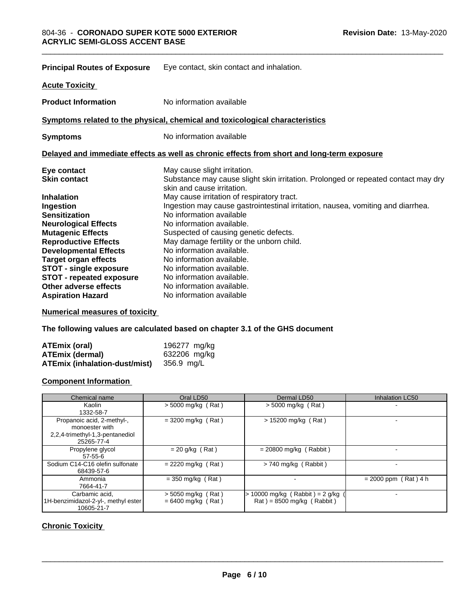| <b>Principal Routes of Exposure</b> | Eye contact, skin contact and inhalation.                                                                       |  |  |
|-------------------------------------|-----------------------------------------------------------------------------------------------------------------|--|--|
| <b>Acute Toxicity</b>               |                                                                                                                 |  |  |
| <b>Product Information</b>          | No information available                                                                                        |  |  |
|                                     | Symptoms related to the physical, chemical and toxicological characteristics                                    |  |  |
| <b>Symptoms</b>                     | No information available                                                                                        |  |  |
|                                     | Delayed and immediate effects as well as chronic effects from short and long-term exposure                      |  |  |
| Eye contact                         | May cause slight irritation.                                                                                    |  |  |
| <b>Skin contact</b>                 | Substance may cause slight skin irritation. Prolonged or repeated contact may dry<br>skin and cause irritation. |  |  |
| <b>Inhalation</b>                   | May cause irritation of respiratory tract.                                                                      |  |  |
| Ingestion                           | Ingestion may cause gastrointestinal irritation, nausea, vomiting and diarrhea.                                 |  |  |
| <b>Sensitization</b>                | No information available                                                                                        |  |  |
| <b>Neurological Effects</b>         | No information available.                                                                                       |  |  |
| <b>Mutagenic Effects</b>            | Suspected of causing genetic defects.                                                                           |  |  |
| <b>Reproductive Effects</b>         | May damage fertility or the unborn child.                                                                       |  |  |
| <b>Developmental Effects</b>        | No information available.                                                                                       |  |  |
| <b>Target organ effects</b>         | No information available.                                                                                       |  |  |
| <b>STOT - single exposure</b>       | No information available.                                                                                       |  |  |
| <b>STOT - repeated exposure</b>     | No information available.                                                                                       |  |  |
| Other adverse effects               | No information available.                                                                                       |  |  |
| <b>Aspiration Hazard</b>            | No information available                                                                                        |  |  |

\_\_\_\_\_\_\_\_\_\_\_\_\_\_\_\_\_\_\_\_\_\_\_\_\_\_\_\_\_\_\_\_\_\_\_\_\_\_\_\_\_\_\_\_\_\_\_\_\_\_\_\_\_\_\_\_\_\_\_\_\_\_\_\_\_\_\_\_\_\_\_\_\_\_\_\_\_\_\_\_\_\_\_\_\_\_\_\_\_\_\_\_\_

**Numerical measures of toxicity**

**The following values are calculated based on chapter 3.1 of the GHS document**

| ATEmix (oral)                 | 196277 mg/kg |
|-------------------------------|--------------|
| <b>ATEmix (dermal)</b>        | 632206 mg/kg |
| ATEmix (inhalation-dust/mist) | 356.9 mg/L   |

#### **Component Information**

| Chemical name                                                                                 | Oral LD50                                    | Dermal LD50                                                      | Inhalation LC50        |
|-----------------------------------------------------------------------------------------------|----------------------------------------------|------------------------------------------------------------------|------------------------|
| Kaolin<br>1332-58-7                                                                           | $> 5000$ mg/kg (Rat)                         | $>$ 5000 mg/kg (Rat)                                             |                        |
| Propanoic acid, 2-methyl-,<br>monoester with<br>2,2,4-trimethyl-1,3-pentanediol<br>25265-77-4 | $=$ 3200 mg/kg (Rat)                         | $> 15200$ mg/kg (Rat)                                            |                        |
| Propylene glycol<br>$57-55-6$                                                                 | $= 20$ g/kg (Rat)                            | $= 20800$ mg/kg (Rabbit)                                         |                        |
| Sodium C14-C16 olefin sulfonate<br>68439-57-6                                                 | $= 2220$ mg/kg (Rat)                         | $> 740$ mg/kg (Rabbit)                                           |                        |
| Ammonia<br>7664-41-7                                                                          | $=$ 350 mg/kg (Rat)                          |                                                                  | $= 2000$ ppm (Rat) 4 h |
| Carbamic acid.<br>1H-benzimidazol-2-yl-, methyl ester<br>10605-21-7                           | $>$ 5050 mg/kg (Rat)<br>$= 6400$ mg/kg (Rat) | $> 10000$ mg/kg (Rabbit) = 2 g/kg<br>$Rat$ = 8500 mg/kg (Rabbit) |                        |

# **Chronic Toxicity**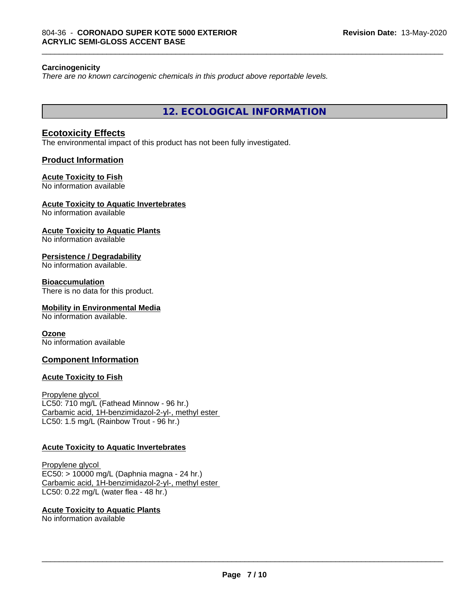#### **Carcinogenicity**

*There are no known carcinogenic chemicals in this product above reportable levels.*

**12. ECOLOGICAL INFORMATION**

\_\_\_\_\_\_\_\_\_\_\_\_\_\_\_\_\_\_\_\_\_\_\_\_\_\_\_\_\_\_\_\_\_\_\_\_\_\_\_\_\_\_\_\_\_\_\_\_\_\_\_\_\_\_\_\_\_\_\_\_\_\_\_\_\_\_\_\_\_\_\_\_\_\_\_\_\_\_\_\_\_\_\_\_\_\_\_\_\_\_\_\_\_

#### **Ecotoxicity Effects**

The environmental impact of this product has not been fully investigated.

#### **Product Information**

# **Acute Toxicity to Fish**

No information available

#### **Acute Toxicity to Aquatic Invertebrates**

No information available

#### **Acute Toxicity to Aquatic Plants**

No information available

#### **Persistence / Degradability**

No information available.

#### **Bioaccumulation**

There is no data for this product.

#### **Mobility in Environmental Media**

No information available.

#### **Ozone**

No information available

#### **Component Information**

#### **Acute Toxicity to Fish**

Propylene glycol LC50: 710 mg/L (Fathead Minnow - 96 hr.) Carbamic acid, 1H-benzimidazol-2-yl-, methyl ester LC50: 1.5 mg/L (Rainbow Trout - 96 hr.)

#### **Acute Toxicity to Aquatic Invertebrates**

Propylene glycol EC50: > 10000 mg/L (Daphnia magna - 24 hr.) Carbamic acid, 1H-benzimidazol-2-yl-, methyl ester LC50: 0.22 mg/L (water flea - 48 hr.)

**Acute Toxicity to Aquatic Plants** No information available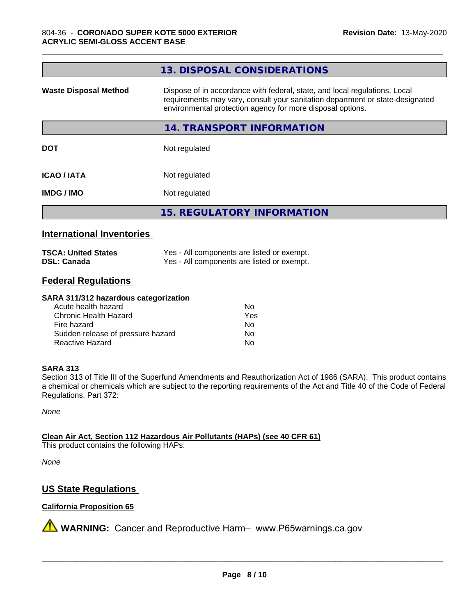| 13. DISPOSAL CONSIDERATIONS                                                                                                                                                                                               |
|---------------------------------------------------------------------------------------------------------------------------------------------------------------------------------------------------------------------------|
| Dispose of in accordance with federal, state, and local regulations. Local<br>requirements may vary, consult your sanitation department or state-designated<br>environmental protection agency for more disposal options. |
| 14. TRANSPORT INFORMATION                                                                                                                                                                                                 |
| Not regulated                                                                                                                                                                                                             |
| Not regulated                                                                                                                                                                                                             |
| Not regulated                                                                                                                                                                                                             |
| <b>15. REGULATORY INFORMATION</b>                                                                                                                                                                                         |
|                                                                                                                                                                                                                           |

\_\_\_\_\_\_\_\_\_\_\_\_\_\_\_\_\_\_\_\_\_\_\_\_\_\_\_\_\_\_\_\_\_\_\_\_\_\_\_\_\_\_\_\_\_\_\_\_\_\_\_\_\_\_\_\_\_\_\_\_\_\_\_\_\_\_\_\_\_\_\_\_\_\_\_\_\_\_\_\_\_\_\_\_\_\_\_\_\_\_\_\_\_

#### **International Inventories**

| <b>TSCA: United States</b> | Yes - All components are listed or exempt. |
|----------------------------|--------------------------------------------|
| <b>DSL: Canada</b>         | Yes - All components are listed or exempt. |

# **Federal Regulations**

#### **SARA 311/312 hazardous categorization**

| Acute health hazard               | Nο  |
|-----------------------------------|-----|
| Chronic Health Hazard             | Yes |
| Fire hazard                       | N٥  |
| Sudden release of pressure hazard | N٥  |
| Reactive Hazard                   | Nο  |

#### **SARA 313**

Section 313 of Title III of the Superfund Amendments and Reauthorization Act of 1986 (SARA). This product contains a chemical or chemicals which are subject to the reporting requirements of the Act and Title 40 of the Code of Federal Regulations, Part 372:

*None*

**Clean Air Act,Section 112 Hazardous Air Pollutants (HAPs) (see 40 CFR 61)**

This product contains the following HAPs:

*None*

# **US State Regulations**

### **California Proposition 65**

**A** WARNING: Cancer and Reproductive Harm– www.P65warnings.ca.gov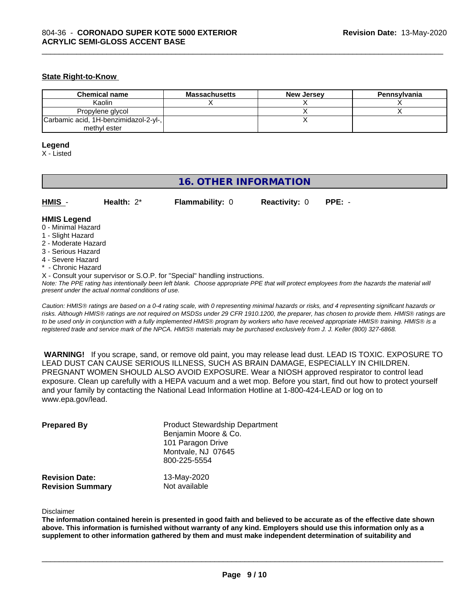#### **State Right-to-Know**

| <b>Chemical name</b>                  | <b>Massachusetts</b> | <b>New Jersey</b> | Pennsylvania |
|---------------------------------------|----------------------|-------------------|--------------|
| Kaolin                                |                      |                   |              |
| Propylene glycol                      |                      |                   |              |
| Carbamic acid, 1H-benzimidazol-2-yl-, |                      |                   |              |
| methyl ester                          |                      |                   |              |

\_\_\_\_\_\_\_\_\_\_\_\_\_\_\_\_\_\_\_\_\_\_\_\_\_\_\_\_\_\_\_\_\_\_\_\_\_\_\_\_\_\_\_\_\_\_\_\_\_\_\_\_\_\_\_\_\_\_\_\_\_\_\_\_\_\_\_\_\_\_\_\_\_\_\_\_\_\_\_\_\_\_\_\_\_\_\_\_\_\_\_\_\_

#### **Legend**

X - Listed

# **16. OTHER INFORMATION**

| HMIS | Health: $2^*$ | <b>Flammability: 0</b> | <b>Reactivity: 0 PPE: -</b> |  |
|------|---------------|------------------------|-----------------------------|--|
|      |               |                        |                             |  |

#### **HMIS Legend**

- 0 Minimal Hazard
- 1 Slight Hazard
- 2 Moderate Hazard
- 3 Serious Hazard
- 4 Severe Hazard
- Chronic Hazard
- X Consult your supervisor or S.O.P. for "Special" handling instructions.

*Note: The PPE rating has intentionally been left blank. Choose appropriate PPE that will protect employees from the hazards the material will present under the actual normal conditions of use.*

*Caution: HMISÒ ratings are based on a 0-4 rating scale, with 0 representing minimal hazards or risks, and 4 representing significant hazards or risks. Although HMISÒ ratings are not required on MSDSs under 29 CFR 1910.1200, the preparer, has chosen to provide them. HMISÒ ratings are to be used only in conjunction with a fully implemented HMISÒ program by workers who have received appropriate HMISÒ training. HMISÒ is a registered trade and service mark of the NPCA. HMISÒ materials may be purchased exclusively from J. J. Keller (800) 327-6868.*

 **WARNING!** If you scrape, sand, or remove old paint, you may release lead dust. LEAD IS TOXIC. EXPOSURE TO LEAD DUST CAN CAUSE SERIOUS ILLNESS, SUCH AS BRAIN DAMAGE, ESPECIALLY IN CHILDREN. PREGNANT WOMEN SHOULD ALSO AVOID EXPOSURE.Wear a NIOSH approved respirator to control lead exposure. Clean up carefully with a HEPA vacuum and a wet mop. Before you start, find out how to protect yourself and your family by contacting the National Lead Information Hotline at 1-800-424-LEAD or log on to www.epa.gov/lead.

| <b>Prepared By</b>                               | <b>Product Stewardship Department</b><br>Benjamin Moore & Co.<br>101 Paragon Drive<br>Montvale, NJ 07645<br>800-225-5554 |  |
|--------------------------------------------------|--------------------------------------------------------------------------------------------------------------------------|--|
| <b>Revision Date:</b><br><b>Revision Summary</b> | 13-May-2020<br>Not available                                                                                             |  |

Disclaimer

The information contained herein is presented in good faith and believed to be accurate as of the effective date shown above. This information is furnished without warranty of any kind. Employers should use this information only as a **supplement to other information gathered by them and must make independent determination of suitability and**